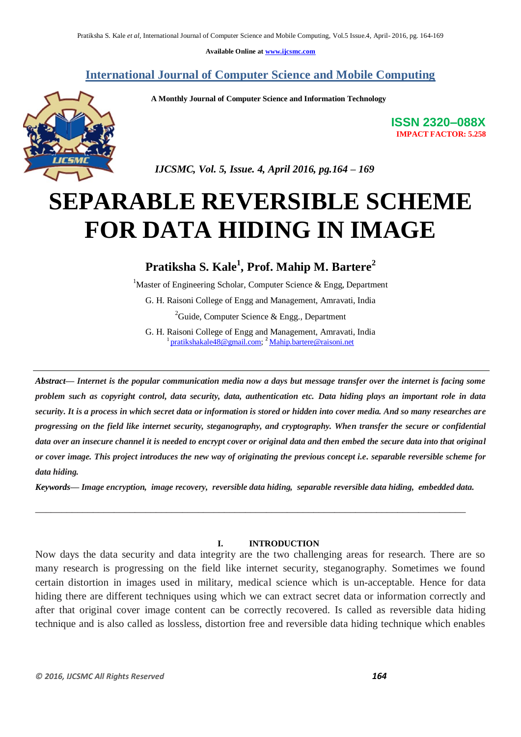**Available Online at www.ijcsmc.com**

**International Journal of Computer Science and Mobile Computing**

 **A Monthly Journal of Computer Science and Information Technology**



**ISSN 2320–088X IMPACT FACTOR: 5.258**

 *IJCSMC, Vol. 5, Issue. 4, April 2016, pg.164 – 169*

# **SEPARABLE REVERSIBLE SCHEME FOR DATA HIDING IN IMAGE**

## **Pratiksha S. Kale<sup>1</sup> , Prof. Mahip M. Bartere<sup>2</sup>**

<sup>1</sup>Master of Engineering Scholar, Computer Science & Engg, Department G. H. Raisoni College of Engg and Management, Amravati, India <sup>2</sup>Guide, Computer Science & Engg., Department

G. H. Raisoni College of Engg and Management, Amravati, India <sup>1</sup> pratikshakale48@gmail.com; <sup>2</sup> Mahip.bartere@raisoni.net

*Abstract— Internet is the popular communication media now a days but message transfer over the internet is facing some problem such as copyright control, data security, data, authentication etc. Data hiding plays an important role in data security. It is a process in which secret data or information is stored or hidden into cover media. And so many researches are progressing on the field like internet security, steganography, and cryptography. When transfer the secure or confidential data over an insecure channel it is needed to encrypt cover or original data and then embed the secure data into that original or cover image. This project introduces the new way of originating the previous concept i.e. separable reversible scheme for data hiding.* 

*Keywords— Image encryption, image recovery, reversible data hiding, separable reversible data hiding, embedded data.*

\_\_\_\_\_\_\_\_\_\_\_\_\_\_\_\_\_\_\_\_\_\_\_\_\_\_\_\_\_\_\_\_\_\_\_\_\_\_\_\_\_\_\_\_\_\_\_\_\_\_\_\_\_\_\_\_\_\_\_\_\_\_\_\_\_\_\_\_\_\_\_\_\_\_\_\_\_\_\_\_\_\_

#### **I. INTRODUCTION**

Now days the data security and data integrity are the two challenging areas for research. There are so many research is progressing on the field like internet security, steganography. Sometimes we found certain distortion in images used in military, medical science which is un-acceptable. Hence for data hiding there are different techniques using which we can extract secret data or information correctly and after that original cover image content can be correctly recovered. Is called as reversible data hiding technique and is also called as lossless, distortion free and reversible data hiding technique which enables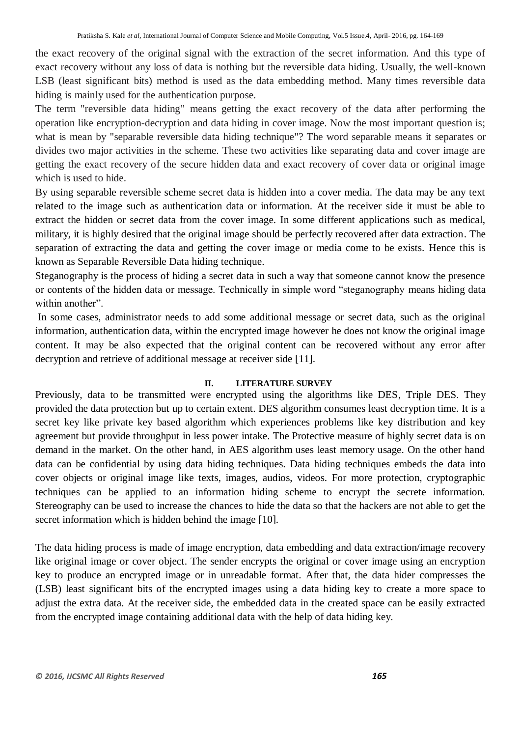the exact recovery of the original signal with the extraction of the secret information. And this type of exact recovery without any loss of data is nothing but the reversible data hiding. Usually, the well-known LSB (least significant bits) method is used as the data embedding method. Many times reversible data hiding is mainly used for the authentication purpose.

The term "reversible data hiding" means getting the exact recovery of the data after performing the operation like encryption-decryption and data hiding in cover image. Now the most important question is; what is mean by "separable reversible data hiding technique"? The word separable means it separates or divides two major activities in the scheme. These two activities like separating data and cover image are getting the exact recovery of the secure hidden data and exact recovery of cover data or original image which is used to hide.

By using separable reversible scheme secret data is hidden into a cover media. The data may be any text related to the image such as authentication data or information. At the receiver side it must be able to extract the hidden or secret data from the cover image. In some different applications such as medical, military, it is highly desired that the original image should be perfectly recovered after data extraction. The separation of extracting the data and getting the cover image or media come to be exists. Hence this is known as Separable Reversible Data hiding technique.

Steganography is the process of hiding a secret data in such a way that someone cannot know the presence or contents of the hidden data or message. Technically in simple word "steganography means hiding data within another".

In some cases, administrator needs to add some additional message or secret data, such as the original information, authentication data, within the encrypted image however he does not know the original image content. It may be also expected that the original content can be recovered without any error after decryption and retrieve of additional message at receiver side [11].

#### **II. LITERATURE SURVEY**

Previously, data to be transmitted were encrypted using the algorithms like DES, Triple DES. They provided the data protection but up to certain extent. DES algorithm consumes least decryption time. It is a secret key like private key based algorithm which experiences problems like key distribution and key agreement but provide throughput in less power intake. The Protective measure of highly secret data is on demand in the market. On the other hand, in AES algorithm uses least memory usage. On the other hand data can be confidential by using data hiding techniques. Data hiding techniques embeds the data into cover objects or original image like texts, images, audios, videos. For more protection, cryptographic techniques can be applied to an information hiding scheme to encrypt the secrete information. Stereography can be used to increase the chances to hide the data so that the hackers are not able to get the secret information which is hidden behind the image [10].

The data hiding process is made of image encryption, data embedding and data extraction/image recovery like original image or cover object. The sender encrypts the original or cover image using an encryption key to produce an encrypted image or in unreadable format. After that, the data hider compresses the (LSB) least significant bits of the encrypted images using a data hiding key to create a more space to adjust the extra data. At the receiver side, the embedded data in the created space can be easily extracted from the encrypted image containing additional data with the help of data hiding key.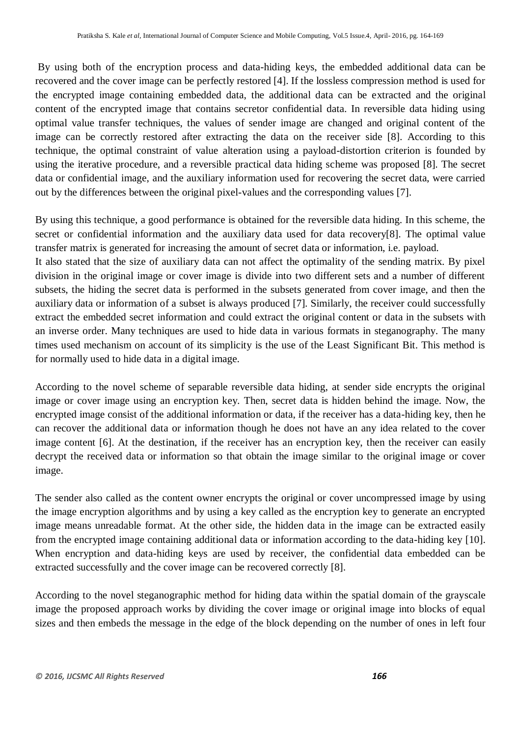By using both of the encryption process and data-hiding keys, the embedded additional data can be recovered and the cover image can be perfectly restored [4]. If the lossless compression method is used for the encrypted image containing embedded data, the additional data can be extracted and the original content of the encrypted image that contains secretor confidential data. In reversible data hiding using optimal value transfer techniques, the values of sender image are changed and original content of the image can be correctly restored after extracting the data on the receiver side [8]. According to this technique, the optimal constraint of value alteration using a payload-distortion criterion is founded by using the iterative procedure, and a reversible practical data hiding scheme was proposed [8]. The secret data or confidential image, and the auxiliary information used for recovering the secret data, were carried out by the differences between the original pixel-values and the corresponding values [7].

By using this technique, a good performance is obtained for the reversible data hiding. In this scheme, the secret or confidential information and the auxiliary data used for data recovery[8]. The optimal value transfer matrix is generated for increasing the amount of secret data or information, i.e. payload.

It also stated that the size of auxiliary data can not affect the optimality of the sending matrix. By pixel division in the original image or cover image is divide into two different sets and a number of different subsets, the hiding the secret data is performed in the subsets generated from cover image, and then the auxiliary data or information of a subset is always produced [7]. Similarly, the receiver could successfully extract the embedded secret information and could extract the original content or data in the subsets with an inverse order. Many techniques are used to hide data in various formats in steganography. The many times used mechanism on account of its simplicity is the use of the Least Significant Bit. This method is for normally used to hide data in a digital image.

According to the novel scheme of separable reversible data hiding, at sender side encrypts the original image or cover image using an encryption key. Then, secret data is hidden behind the image. Now, the encrypted image consist of the additional information or data, if the receiver has a data-hiding key, then he can recover the additional data or information though he does not have an any idea related to the cover image content [6]. At the destination, if the receiver has an encryption key, then the receiver can easily decrypt the received data or information so that obtain the image similar to the original image or cover image.

The sender also called as the content owner encrypts the original or cover uncompressed image by using the image encryption algorithms and by using a key called as the encryption key to generate an encrypted image means unreadable format. At the other side, the hidden data in the image can be extracted easily from the encrypted image containing additional data or information according to the data-hiding key [10]. When encryption and data-hiding keys are used by receiver, the confidential data embedded can be extracted successfully and the cover image can be recovered correctly [8].

According to the novel steganographic method for hiding data within the spatial domain of the grayscale image the proposed approach works by dividing the cover image or original image into blocks of equal sizes and then embeds the message in the edge of the block depending on the number of ones in left four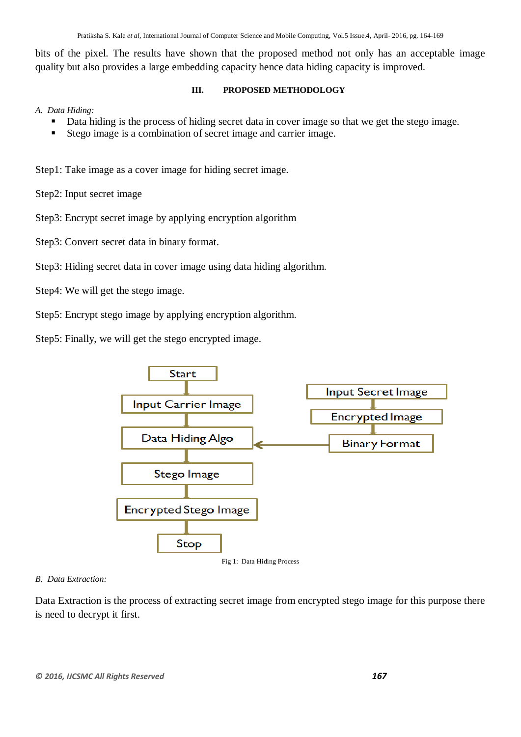bits of the pixel. The results have shown that the proposed method not only has an acceptable image quality but also provides a large embedding capacity hence data hiding capacity is improved.

#### **III. PROPOSED METHODOLOGY**

### *A. Data Hiding:*

- Data hiding is the process of hiding secret data in cover image so that we get the stego image.
- Stego image is a combination of secret image and carrier image.

Step1: Take image as a cover image for hiding secret image.

Step2: Input secret image

Step3: Encrypt secret image by applying encryption algorithm

Step3: Convert secret data in binary format.

### Step3: Hiding secret data in cover image using data hiding algorithm.

- Step4: We will get the stego image.
- Step5: Encrypt stego image by applying encryption algorithm.

Step5: Finally, we will get the stego encrypted image.



#### *B. Data Extraction:*

Data Extraction is the process of extracting secret image from encrypted stego image for this purpose there is need to decrypt it first.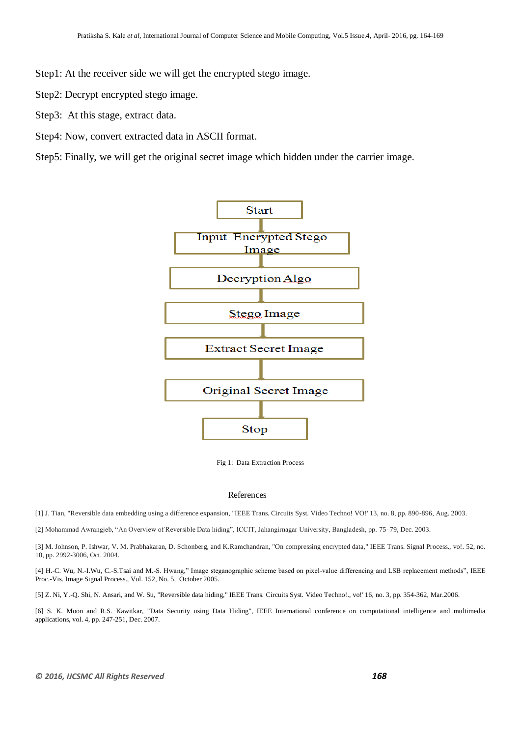- Step1: At the receiver side we will get the encrypted stego image.
- Step2: Decrypt encrypted stego image.
- Step3: At this stage, extract data.
- Step4: Now, convert extracted data in ASCII format.

Step5: Finally, we will get the original secret image which hidden under the carrier image.



Fig 1: Data Extraction Process

#### References

[1] J. Tian, "Reversible data embedding using a difference expansion, "IEEE Trans. Circuits Syst. Video Techno! VO!' 13, no. 8, pp. 890-896, Aug. 2003.

[2] Mohammad Awrangjeb, "An Overview of Reversible Data hiding", ICCIT, Jahangirnagar University, Bangladesh, pp. 75–79, Dec. 2003.

[3] M. Johnson, P. Ishwar, V. M. Prabhakaran, D. Schonberg, and K.Ramchandran, "On compressing encrypted data," IEEE Trans. Signal Process., vo!. 52, no. 10, pp. 2992-3006, Oct. 2004.

[4] H.-C. Wu, N.-I.Wu, C.-S.Tsai and M.-S. Hwang," Image steganographic scheme based on pixel-value differencing and LSB replacement methods", IEEE Proc.-Vis. Image Signal Process., Vol. 152, No. 5, October 2005.

[5] Z. Ni, Y.-Q. Shi, N. Ansari, and W. Su, "Reversible data hiding," IEEE Trans. Circuits Syst. Video Techno!., vo!' 16, no. 3, pp. 354-362, Mar.2006.

[6] S. K. Moon and R.S. Kawitkar, "Data Security using Data Hiding", IEEE International conference on computational intelligence and multimedia applications, vol. 4, pp. 247-251, Dec. 2007.